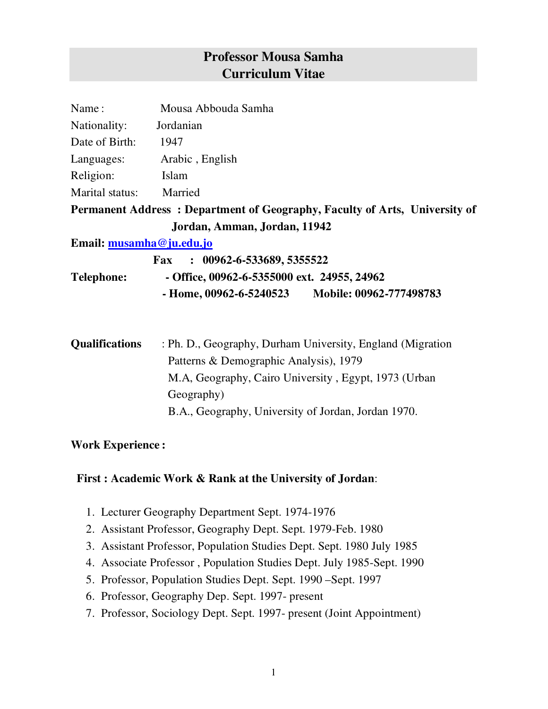# **Professor Mousa Samha Curriculum Vitae**

| Name:                    | Mousa Abbouda Samha                                                        |
|--------------------------|----------------------------------------------------------------------------|
| Nationality:             | Jordanian                                                                  |
| Date of Birth:           | 1947                                                                       |
| Languages:               | Arabic, English                                                            |
| Religion:                | Islam                                                                      |
| Marital status:          | Married                                                                    |
|                          | Permanent Address: Department of Geography, Faculty of Arts, University of |
|                          | Jordan, Amman, Jordan, 11942                                               |
| Email: musamha@ju.edu.jo |                                                                            |
|                          | $\therefore$ 00962-6-533689, 5355522<br><b>Fax</b>                         |
| <b>Telephone:</b>        | $-$ Office, 00962-6-5355000 ext. 24955, 24962                              |
|                          | Mobile: 00962-777498783<br>- Home, 00962-6-5240523                         |

| <b>Qualifications</b> | : Ph. D., Geography, Durham University, England (Migration) |
|-----------------------|-------------------------------------------------------------|
|                       | Patterns & Demographic Analysis), 1979                      |
|                       | M.A, Geography, Cairo University, Egypt, 1973 (Urban        |
|                       | Geography)                                                  |
|                       | B.A., Geography, University of Jordan, Jordan 1970.         |

#### **Work Experience :**

#### **First : Academic Work & Rank at the University of Jordan**:

- 1. Lecturer Geography Department Sept. 1974-1976
- 2. Assistant Professor, Geography Dept. Sept. 1979-Feb. 1980
- 3. Assistant Professor, Population Studies Dept. Sept. 1980 July 1985
- 4. Associate Professor , Population Studies Dept. July 1985-Sept. 1990
- 5. Professor, Population Studies Dept. Sept. 1990 –Sept. 1997
- 6. Professor, Geography Dep. Sept. 1997- present
- 7. Professor, Sociology Dept. Sept. 1997- present (Joint Appointment)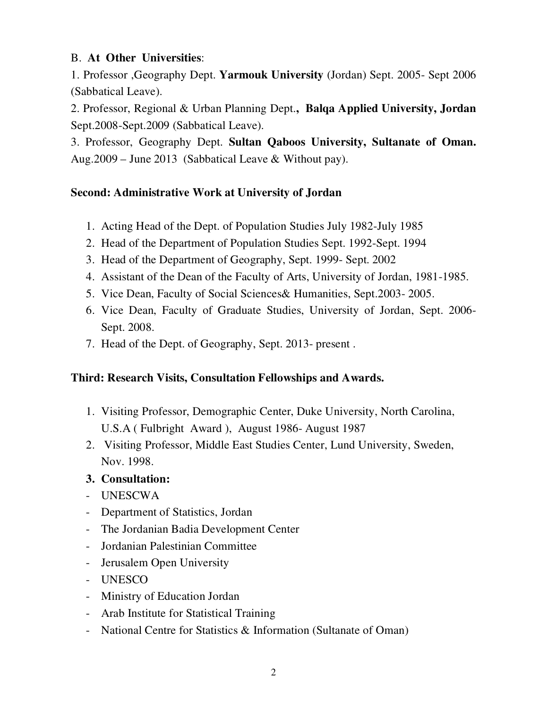### B. **At Other Universities**:

1. Professor ,Geography Dept. **Yarmouk University** (Jordan) Sept. 2005- Sept 2006 (Sabbatical Leave).

2. Professor, Regional & Urban Planning Dept.**, Balqa Applied University, Jordan** Sept.2008-Sept.2009 (Sabbatical Leave).

3. Professor, Geography Dept. **Sultan Qaboos University, Sultanate of Oman.** Aug.2009 – June 2013 (Sabbatical Leave & Without pay).

## **Second: Administrative Work at University of Jordan**

- 1. Acting Head of the Dept. of Population Studies July 1982-July 1985
- 2. Head of the Department of Population Studies Sept. 1992-Sept. 1994
- 3. Head of the Department of Geography, Sept. 1999- Sept. 2002
- 4. Assistant of the Dean of the Faculty of Arts, University of Jordan, 1981-1985.
- 5. Vice Dean, Faculty of Social Sciences& Humanities, Sept.2003- 2005.
- 6. Vice Dean, Faculty of Graduate Studies, University of Jordan, Sept. 2006- Sept. 2008.
- 7. Head of the Dept. of Geography, Sept. 2013- present .

## **Third: Research Visits, Consultation Fellowships and Awards.**

- 1. Visiting Professor, Demographic Center, Duke University, North Carolina, U.S.A ( Fulbright Award ), August 1986- August 1987
- 2. Visiting Professor, Middle East Studies Center, Lund University, Sweden, Nov. 1998.

### **3. Consultation:**

- UNESCWA
- Department of Statistics, Jordan
- The Jordanian Badia Development Center
- Jordanian Palestinian Committee
- Jerusalem Open University
- UNESCO
- Ministry of Education Jordan
- Arab Institute for Statistical Training
- National Centre for Statistics & Information (Sultanate of Oman)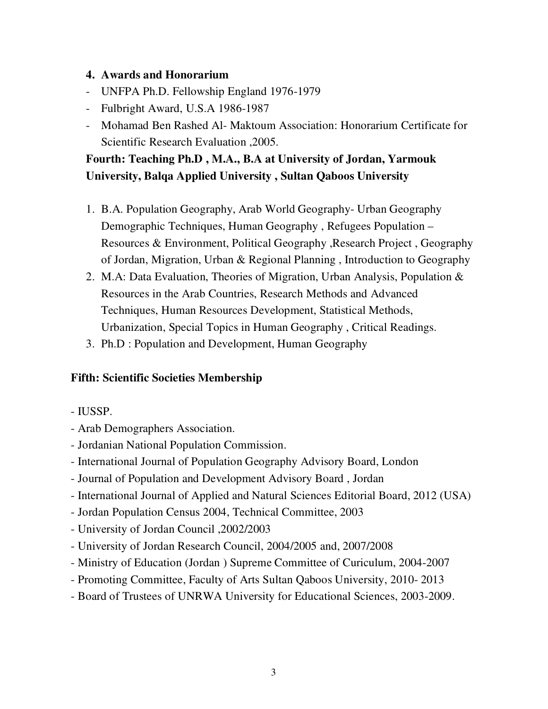#### **4. Awards and Honorarium**

- UNFPA Ph.D. Fellowship England 1976-1979
- Fulbright Award, U.S.A 1986-1987
- Mohamad Ben Rashed Al- Maktoum Association: Honorarium Certificate for Scientific Research Evaluation ,2005.

# **Fourth: Teaching Ph.D , M.A., B.A at University of Jordan, Yarmouk University, Balqa Applied University , Sultan Qaboos University**

- 1. B.A. Population Geography, Arab World Geography- Urban Geography Demographic Techniques, Human Geography , Refugees Population – Resources & Environment, Political Geography ,Research Project , Geography of Jordan, Migration, Urban & Regional Planning , Introduction to Geography
- 2. M.A: Data Evaluation, Theories of Migration, Urban Analysis, Population & Resources in the Arab Countries, Research Methods and Advanced Techniques, Human Resources Development, Statistical Methods, Urbanization, Special Topics in Human Geography , Critical Readings.
- 3. Ph.D : Population and Development, Human Geography

### **Fifth: Scientific Societies Membership**

- IUSSP.
- Arab Demographers Association.
- Jordanian National Population Commission.
- International Journal of Population Geography Advisory Board, London
- Journal of Population and Development Advisory Board , Jordan
- International Journal of Applied and Natural Sciences Editorial Board, 2012 (USA)
- Jordan Population Census 2004, Technical Committee, 2003
- University of Jordan Council ,2002/2003
- University of Jordan Research Council, 2004/2005 and, 2007/2008
- Ministry of Education (Jordan ) Supreme Committee of Curiculum, 2004-2007
- Promoting Committee, Faculty of Arts Sultan Qaboos University, 2010- 2013
- Board of Trustees of UNRWA University for Educational Sciences, 2003-2009.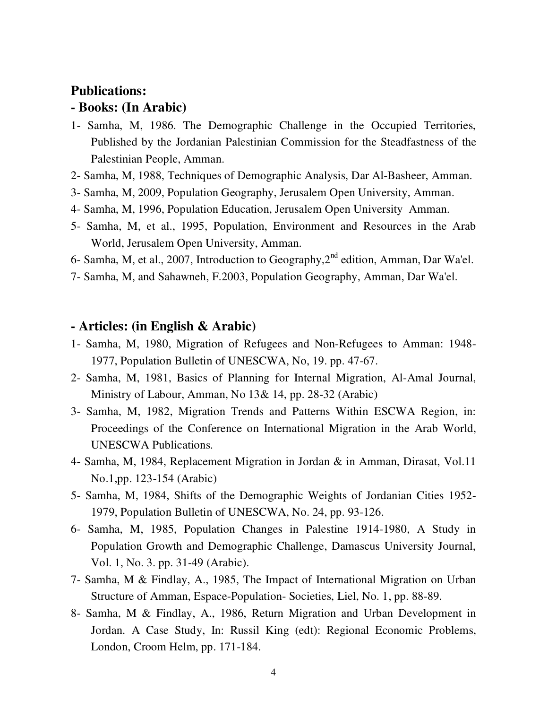## **Publications: - Books: (In Arabic)**

- 1- Samha, M, 1986. The Demographic Challenge in the Occupied Territories, Published by the Jordanian Palestinian Commission for the Steadfastness of the Palestinian People, Amman.
- 2- Samha, M, 1988, Techniques of Demographic Analysis, Dar Al-Basheer, Amman.
- 3- Samha, M, 2009, Population Geography, Jerusalem Open University, Amman.
- 4- Samha, M, 1996, Population Education, Jerusalem Open University Amman.
- 5- Samha, M, et al., 1995, Population, Environment and Resources in the Arab World, Jerusalem Open University, Amman.
- 6- Samha, M, et al., 2007, Introduction to Geography, 2<sup>nd</sup> edition, Amman, Dar Wa'el.
- 7- Samha, M, and Sahawneh, F.2003, Population Geography, Amman, Dar Wa'el.

#### **- Articles: (in English & Arabic)**

- 1- Samha, M, 1980, Migration of Refugees and Non-Refugees to Amman: 1948- 1977, Population Bulletin of UNESCWA, No, 19. pp. 47-67.
- 2- Samha, M, 1981, Basics of Planning for Internal Migration, Al-Amal Journal, Ministry of Labour, Amman, No 13& 14, pp. 28-32 (Arabic)
- 3- Samha, M, 1982, Migration Trends and Patterns Within ESCWA Region, in: Proceedings of the Conference on International Migration in the Arab World, UNESCWA Publications.
- 4- Samha, M, 1984, Replacement Migration in Jordan & in Amman, Dirasat, Vol.11 No.1,pp. 123-154 (Arabic)
- 5- Samha, M, 1984, Shifts of the Demographic Weights of Jordanian Cities 1952- 1979, Population Bulletin of UNESCWA, No. 24, pp. 93-126.
- 6- Samha, M, 1985, Population Changes in Palestine 1914-1980, A Study in Population Growth and Demographic Challenge, Damascus University Journal, Vol. 1, No. 3. pp. 31-49 (Arabic).
- 7- Samha, M & Findlay, A., 1985, The Impact of International Migration on Urban Structure of Amman, Espace-Population- Societies, Liel, No. 1, pp. 88-89.
- 8- Samha, M & Findlay, A., 1986, Return Migration and Urban Development in Jordan. A Case Study, In: Russil King (edt): Regional Economic Problems, London, Croom Helm, pp. 171-184.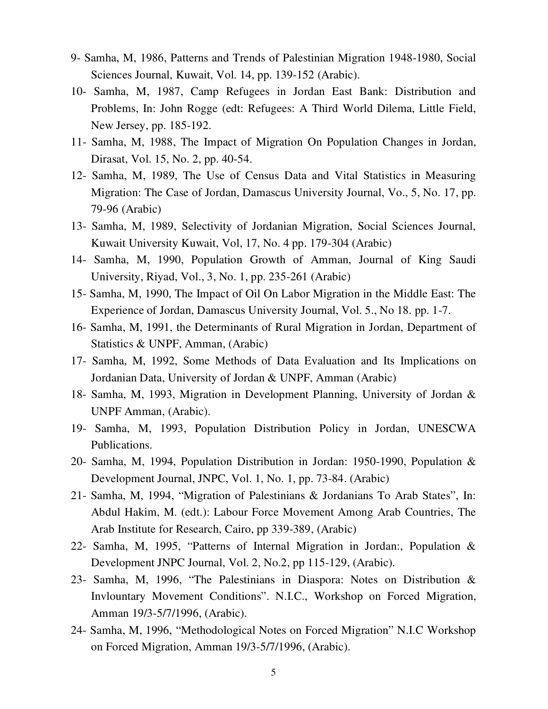- 9- Samha, M, 1986, Patterns and Trends of Palestinian Migration 1948-1980, Social Sciences Journal, Kuwait, Vol. 14, pp. 139-152 (Arabic).
- 10- Samha, M, 1987, Camp Refugees in Jordan East Bank: Distribution and Problems, In: John Rogge (edt: Refugees: A Third World Dilema, Little Field, New Jersey, pp. 185-192.
- 11- Samha, M, 1988, The Impact of Migration On Population Changes in Jordan, Dirasat, Vol. 15, No. 2, pp. 40-54.
- 12- Samha, M, 1989, The Use of Census Data and Vital Statistics in Measuring Migration: The Case of Jordan, Damascus University Journal, Vo., 5, No. 17, pp. 79-96 (Arabic)
- 13- Samha, M, 1989, Selectivity of Jordanian Migration, Social Sciences Journal, Kuwait University Kuwait, Vol, 17, No. 4 pp. 179-304 (Arabic)
- 14- Samha, M, 1990, Population Growth of Amman, Journal of King Saudi University, Riyad, Vol., 3, No. 1, pp. 235-261 (Arabic)
- 15- Samha, M, 1990, The Impact of Oil On Labor Migration in the Middle East: The Experience of Jordan, Damascus University Journal, Vol. 5., No 18. pp. 1-7.
- 16- Samha, M, 1991, the Determinants of Rural Migration in Jordan, Department of Statistics & UNPF, Amman, (Arabic)
- 17- Samha, M, 1992, Some Methods of Data Evaluation and Its Implications on Jordanian Data, University of Jordan & UNPF, Amman (Arabic)
- 18- Samha, M, 1993, Migration in Development Planning, University of Jordan & UNPF Amman, (Arabic).
- 19- Samha, M, 1993, Population Distribution Policy in Jordan, UNESCWA Publications.
- 20- Samha, M, 1994, Population Distribution in Jordan: 1950-1990, Population & Development Journal, JNPC, Vol. 1, No. 1, pp. 73-84. (Arabic)
- 21- Samha, M, 1994, "Migration of Palestinians & Jordanians To Arab States", In: Abdul Hakim, M. (edt.): Labour Force Movement Among Arab Countries, The Arab Institute for Research, Cairo, pp 339-389, (Arabic)
- 22- Samha, M, 1995, "Patterns of Internal Migration in Jordan:, Population & Development JNPC Journal, Vol. 2, No.2, pp 115-129, (Arabic).
- 23- Samha, M, 1996, "The Palestinians in Diaspora: Notes on Distribution & Invlountary Movement Conditions". N.I.C., Workshop on Forced Migration, Amman 19/3-5/7/1996, (Arabic).
- 24- Samha, M, 1996, "Methodological Notes on Forced Migration" N.I.C Workshop on Forced Migration, Amman 19/3-5/7/1996, (Arabic).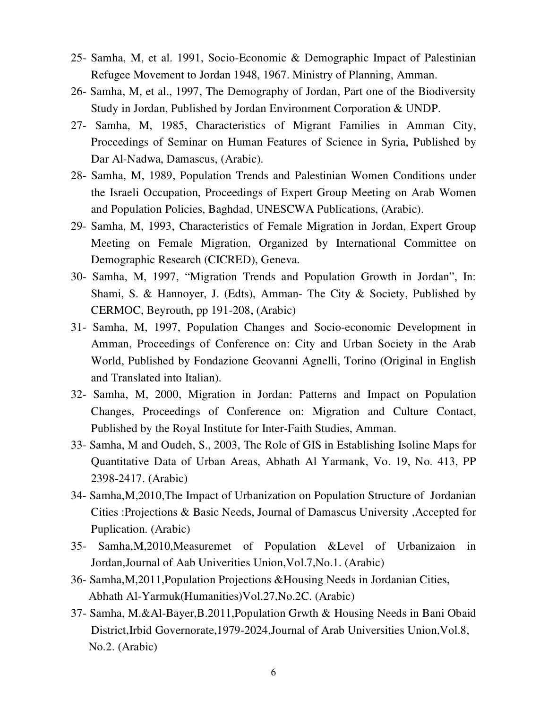- 25- Samha, M, et al. 1991, Socio-Economic & Demographic Impact of Palestinian Refugee Movement to Jordan 1948, 1967. Ministry of Planning, Amman.
- 26- Samha, M, et al., 1997, The Demography of Jordan, Part one of the Biodiversity Study in Jordan, Published by Jordan Environment Corporation & UNDP.
- 27- Samha, M, 1985, Characteristics of Migrant Families in Amman City, Proceedings of Seminar on Human Features of Science in Syria, Published by Dar Al-Nadwa, Damascus, (Arabic).
- 28- Samha, M, 1989, Population Trends and Palestinian Women Conditions under the Israeli Occupation, Proceedings of Expert Group Meeting on Arab Women and Population Policies, Baghdad, UNESCWA Publications, (Arabic).
- 29- Samha, M, 1993, Characteristics of Female Migration in Jordan, Expert Group Meeting on Female Migration, Organized by International Committee on Demographic Research (CICRED), Geneva.
- 30- Samha, M, 1997, "Migration Trends and Population Growth in Jordan", In: Shami, S. & Hannoyer, J. (Edts), Amman- The City & Society, Published by CERMOC, Beyrouth, pp 191-208, (Arabic)
- 31- Samha, M, 1997, Population Changes and Socio-economic Development in Amman, Proceedings of Conference on: City and Urban Society in the Arab World, Published by Fondazione Geovanni Agnelli, Torino (Original in English and Translated into Italian).
- 32- Samha, M, 2000, Migration in Jordan: Patterns and Impact on Population Changes, Proceedings of Conference on: Migration and Culture Contact, Published by the Royal Institute for Inter-Faith Studies, Amman.
- 33- Samha, M and Oudeh, S., 2003, The Role of GIS in Establishing Isoline Maps for Quantitative Data of Urban Areas, Abhath Al Yarmank, Vo. 19, No. 413, PP 2398-2417. (Arabic)
- 34- Samha,M,2010,The Impact of Urbanization on Population Structure of Jordanian Cities :Projections & Basic Needs, Journal of Damascus University ,Accepted for Puplication. (Arabic)
- 35- Samha,M,2010,Measuremet of Population &Level of Urbanizaion in Jordan,Journal of Aab Univerities Union,Vol.7,No.1. (Arabic)
- 36- Samha,M,2011,Population Projections &Housing Needs in Jordanian Cities, Abhath Al-Yarmuk(Humanities)Vol.27,No.2C. (Arabic)
- 37- Samha, M.&Al-Bayer,B.2011,Population Grwth & Housing Needs in Bani Obaid District,Irbid Governorate,1979-2024,Journal of Arab Universities Union,Vol.8, No.2. (Arabic)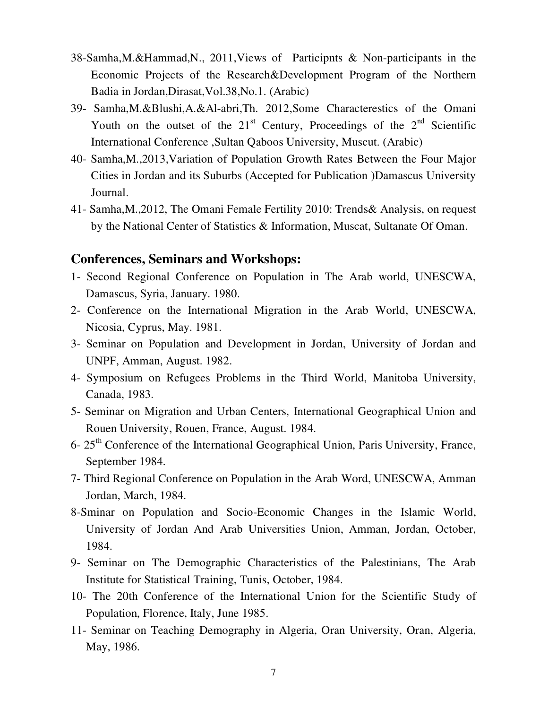- 38-Samha,M.&Hammad,N., 2011,Views of Participnts & Non-participants in the Economic Projects of the Research&Development Program of the Northern Badia in Jordan,Dirasat,Vol.38,No.1. (Arabic)
- 39- Samha,M.&Blushi,A.&Al-abri,Th. 2012,Some Characterestics of the Omani Youth on the outset of the  $21<sup>st</sup>$  Century, Proceedings of the  $2<sup>nd</sup>$  Scientific International Conference ,Sultan Qaboos University, Muscut. (Arabic)
- 40- Samha,M.,2013,Variation of Population Growth Rates Between the Four Major Cities in Jordan and its Suburbs (Accepted for Publication )Damascus University Journal.
- 41- Samha,M.,2012, The Omani Female Fertility 2010: Trends& Analysis, on request by the National Center of Statistics & Information, Muscat, Sultanate Of Oman.

#### **Conferences, Seminars and Workshops:**

- 1- Second Regional Conference on Population in The Arab world, UNESCWA, Damascus, Syria, January. 1980.
- 2- Conference on the International Migration in the Arab World, UNESCWA, Nicosia, Cyprus, May. 1981.
- 3- Seminar on Population and Development in Jordan, University of Jordan and UNPF, Amman, August. 1982.
- 4- Symposium on Refugees Problems in the Third World, Manitoba University, Canada, 1983.
- 5- Seminar on Migration and Urban Centers, International Geographical Union and Rouen University, Rouen, France, August. 1984.
- 6- 25<sup>th</sup> Conference of the International Geographical Union, Paris University, France, September 1984.
- 7- Third Regional Conference on Population in the Arab Word, UNESCWA, Amman Jordan, March, 1984.
- 8-Sminar on Population and Socio-Economic Changes in the Islamic World, University of Jordan And Arab Universities Union, Amman, Jordan, October, 1984.
- 9- Seminar on The Demographic Characteristics of the Palestinians, The Arab Institute for Statistical Training, Tunis, October, 1984.
- 10- The 20th Conference of the International Union for the Scientific Study of Population, Florence, Italy, June 1985.
- 11- Seminar on Teaching Demography in Algeria, Oran University, Oran, Algeria, May, 1986.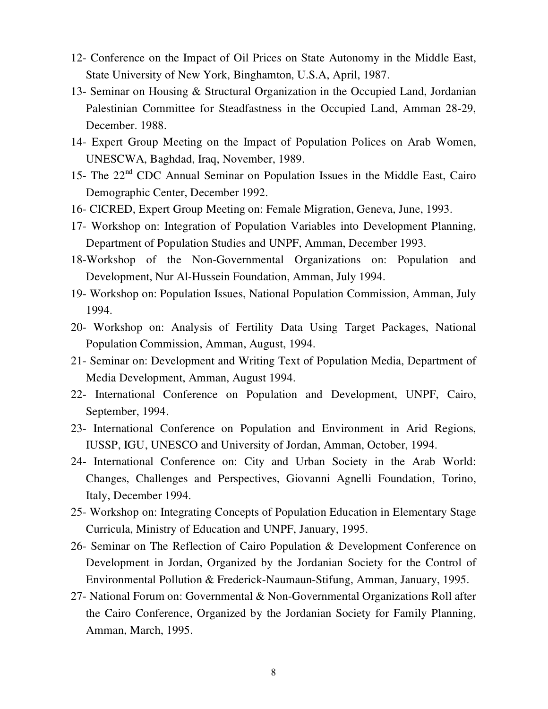- 12- Conference on the Impact of Oil Prices on State Autonomy in the Middle East, State University of New York, Binghamton, U.S.A, April, 1987.
- 13- Seminar on Housing & Structural Organization in the Occupied Land, Jordanian Palestinian Committee for Steadfastness in the Occupied Land, Amman 28-29, December. 1988.
- 14- Expert Group Meeting on the Impact of Population Polices on Arab Women, UNESCWA, Baghdad, Iraq, November, 1989.
- 15- The 22<sup>nd</sup> CDC Annual Seminar on Population Issues in the Middle East, Cairo Demographic Center, December 1992.
- 16- CICRED, Expert Group Meeting on: Female Migration, Geneva, June, 1993.
- 17- Workshop on: Integration of Population Variables into Development Planning, Department of Population Studies and UNPF, Amman, December 1993.
- 18-Workshop of the Non-Governmental Organizations on: Population and Development, Nur Al-Hussein Foundation, Amman, July 1994.
- 19- Workshop on: Population Issues, National Population Commission, Amman, July 1994.
- 20- Workshop on: Analysis of Fertility Data Using Target Packages, National Population Commission, Amman, August, 1994.
- 21- Seminar on: Development and Writing Text of Population Media, Department of Media Development, Amman, August 1994.
- 22- International Conference on Population and Development, UNPF, Cairo, September, 1994.
- 23- International Conference on Population and Environment in Arid Regions, IUSSP, IGU, UNESCO and University of Jordan, Amman, October, 1994.
- 24- International Conference on: City and Urban Society in the Arab World: Changes, Challenges and Perspectives, Giovanni Agnelli Foundation, Torino, Italy, December 1994.
- 25- Workshop on: Integrating Concepts of Population Education in Elementary Stage Curricula, Ministry of Education and UNPF, January, 1995.
- 26- Seminar on The Reflection of Cairo Population & Development Conference on Development in Jordan, Organized by the Jordanian Society for the Control of Environmental Pollution & Frederick-Naumaun-Stifung, Amman, January, 1995.
- 27- National Forum on: Governmental & Non-Governmental Organizations Roll after the Cairo Conference, Organized by the Jordanian Society for Family Planning, Amman, March, 1995.